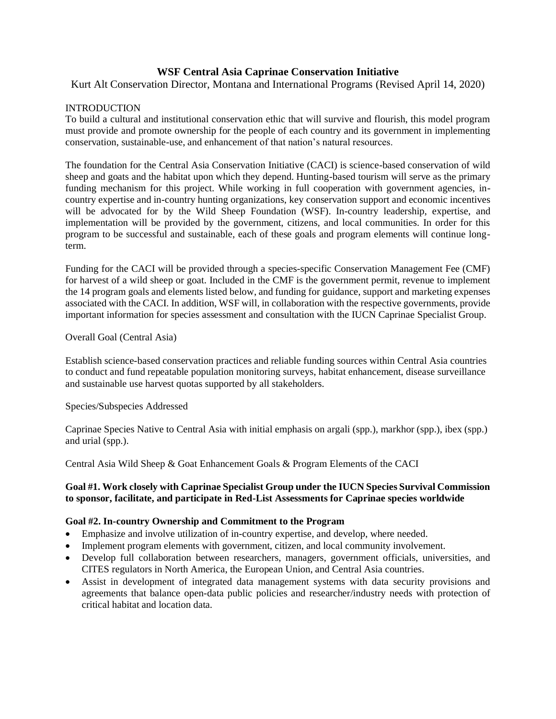# **WSF Central Asia Caprinae Conservation Initiative**

Kurt Alt Conservation Director, Montana and International Programs (Revised April 14, 2020)

### **INTRODUCTION**

To build a cultural and institutional conservation ethic that will survive and flourish, this model program must provide and promote ownership for the people of each country and its government in implementing conservation, sustainable-use, and enhancement of that nation's natural resources.

The foundation for the Central Asia Conservation Initiative (CACI) is science-based conservation of wild sheep and goats and the habitat upon which they depend. Hunting-based tourism will serve as the primary funding mechanism for this project. While working in full cooperation with government agencies, incountry expertise and in-country hunting organizations, key conservation support and economic incentives will be advocated for by the Wild Sheep Foundation (WSF). In-country leadership, expertise, and implementation will be provided by the government, citizens, and local communities. In order for this program to be successful and sustainable, each of these goals and program elements will continue longterm.

Funding for the CACI will be provided through a species-specific Conservation Management Fee (CMF) for harvest of a wild sheep or goat*.* Included in the CMF is the government permit, revenue to implement the 14 program goals and elements listed below, and funding for guidance, support and marketing expenses associated with the CACI. In addition, WSF will, in collaboration with the respective governments, provide important information for species assessment and consultation with the IUCN Caprinae Specialist Group.

#### Overall Goal (Central Asia)

Establish science-based conservation practices and reliable funding sources within Central Asia countries to conduct and fund repeatable population monitoring surveys, habitat enhancement, disease surveillance and sustainable use harvest quotas supported by all stakeholders.

#### Species/Subspecies Addressed

Caprinae Species Native to Central Asia with initial emphasis on argali (spp.), markhor (spp.), ibex (spp.) and urial (spp.).

Central Asia Wild Sheep & Goat Enhancement Goals & Program Elements of the CACI

#### **Goal #1. Work closely with Caprinae Specialist Group under the IUCN Species Survival Commission to sponsor, facilitate, and participate in Red-List Assessments for Caprinae species worldwide**

#### **Goal #2. In-country Ownership and Commitment to the Program**

- Emphasize and involve utilization of in-country expertise, and develop, where needed.
- Implement program elements with government, citizen, and local community involvement.
- Develop full collaboration between researchers, managers, government officials, universities, and CITES regulators in North America, the European Union, and Central Asia countries.
- Assist in development of integrated data management systems with data security provisions and agreements that balance open-data public policies and researcher/industry needs with protection of critical habitat and location data.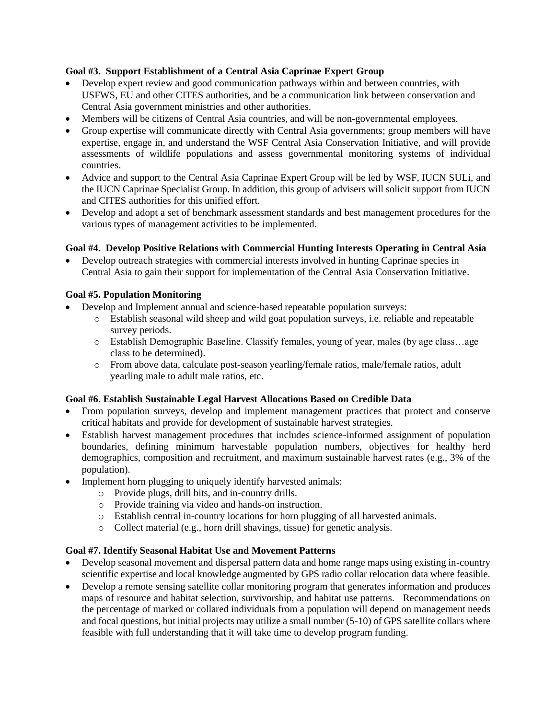## **Goal #3. Support Establishment of a Central Asia Caprinae Expert Group**

- Develop expert review and good communication pathways within and between countries, with USFWS, EU and other CITES authorities, and be a communication link between conservation and Central Asia government ministries and other authorities.
- Members will be citizens of Central Asia countries, and will be non-governmental employees.
- Group expertise will communicate directly with Central Asia governments; group members will have expertise, engage in, and understand the WSF Central Asia Conservation Initiative, and will provide assessments of wildlife populations and assess governmental monitoring systems of individual countries.
- Advice and support to the Central Asia Caprinae Expert Group will be led by WSF, IUCN SULi, and the IUCN Caprinae Specialist Group. In addition, this group of advisers will solicit support from IUCN and CITES authorities for this unified effort.
- Develop and adopt a set of benchmark assessment standards and best management procedures for the various types of management activities to be implemented.

### **Goal #4. Develop Positive Relations with Commercial Hunting Interests Operating in Central Asia**

• Develop outreach strategies with commercial interests involved in hunting Caprinae species in Central Asia to gain their support for implementation of the Central Asia Conservation Initiative.

### **Goal #5. Population Monitoring**

- Develop and Implement annual and science-based repeatable population surveys:
	- o Establish seasonal wild sheep and wild goat population surveys, i.e. reliable and repeatable survey periods.
	- o Establish Demographic Baseline. Classify females, young of year, males (by age class…age class to be determined).
	- o From above data, calculate post-season yearling/female ratios, male/female ratios, adult yearling male to adult male ratios, etc.

#### **Goal #6. Establish Sustainable Legal Harvest Allocations Based on Credible Data**

- From population surveys, develop and implement management practices that protect and conserve critical habitats and provide for development of sustainable harvest strategies.
- Establish harvest management procedures that includes science-informed assignment of population boundaries, defining minimum harvestable population numbers, objectives for healthy herd demographics, composition and recruitment, and maximum sustainable harvest rates (e.g., 3% of the population).
- Implement horn plugging to uniquely identify harvested animals:
	- o Provide plugs, drill bits, and in-country drills.
	- o Provide training via video and hands-on instruction.
	- o Establish central in-country locations for horn plugging of all harvested animals.
	- o Collect material (e.g., horn drill shavings, tissue) for genetic analysis.

### **Goal #7. Identify Seasonal Habitat Use and Movement Patterns**

- Develop seasonal movement and dispersal pattern data and home range maps using existing in-country scientific expertise and local knowledge augmented by GPS radio collar relocation data where feasible.
- Develop a remote sensing satellite collar monitoring program that generates information and produces maps of resource and habitat selection, survivorship, and habitat use patterns. Recommendations on the percentage of marked or collared individuals from a population will depend on management needs and focal questions, but initial projects may utilize a small number (5-10) of GPS satellite collars where feasible with full understanding that it will take time to develop program funding.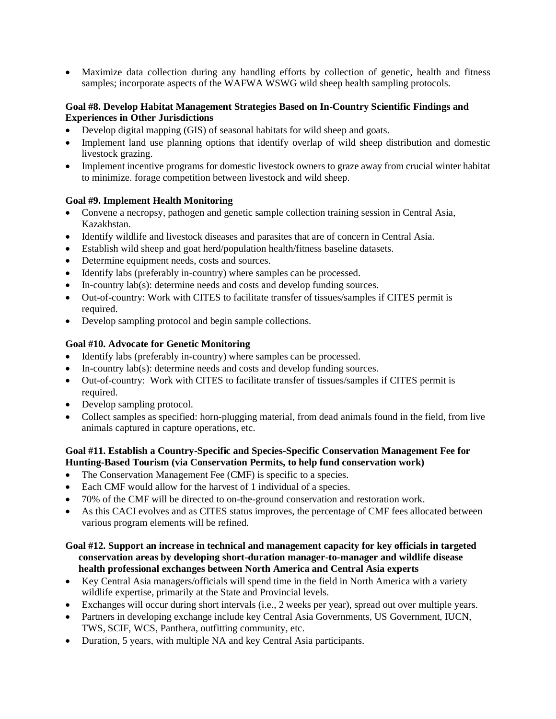• Maximize data collection during any handling efforts by collection of genetic, health and fitness samples; incorporate aspects of the WAFWA WSWG wild sheep health sampling protocols.

### **Goal #8. Develop Habitat Management Strategies Based on In-Country Scientific Findings and Experiences in Other Jurisdictions**

- Develop digital mapping (GIS) of seasonal habitats for wild sheep and goats.
- Implement land use planning options that identify overlap of wild sheep distribution and domestic livestock grazing.
- Implement incentive programs for domestic livestock owners to graze away from crucial winter habitat to minimize. forage competition between livestock and wild sheep.

## **Goal #9. Implement Health Monitoring**

- Convene a necropsy, pathogen and genetic sample collection training session in Central Asia, Kazakhstan.
- Identify wildlife and livestock diseases and parasites that are of concern in Central Asia.
- Establish wild sheep and goat herd/population health/fitness baseline datasets.
- Determine equipment needs, costs and sources.
- Identify labs (preferably in-country) where samples can be processed.
- In-country lab(s): determine needs and costs and develop funding sources.
- Out-of-country: Work with CITES to facilitate transfer of tissues/samples if CITES permit is required.
- Develop sampling protocol and begin sample collections.

### **Goal #10. Advocate for Genetic Monitoring**

- Identify labs (preferably in-country) where samples can be processed.
- In-country lab(s): determine needs and costs and develop funding sources.
- Out-of-country: Work with CITES to facilitate transfer of tissues/samples if CITES permit is required.
- Develop sampling protocol.
- Collect samples as specified: horn-plugging material, from dead animals found in the field, from live animals captured in capture operations, etc.

### **Goal #11. Establish a Country-Specific and Species-Specific Conservation Management Fee for Hunting-Based Tourism (via Conservation Permits, to help fund conservation work)**

- The Conservation Management Fee (CMF) is specific to a species.
- Each CMF would allow for the harvest of 1 individual of a species*.*
- 70% of the CMF will be directed to on-the-ground conservation and restoration work.
- As this CACI evolves and as CITES status improves, the percentage of CMF fees allocated between various program elements will be refined.

#### **Goal #12. Support an increase in technical and management capacity for key officials in targeted conservation areas by developing short-duration manager-to-manager and wildlife disease health professional exchanges between North America and Central Asia experts**

- Key Central Asia managers/officials will spend time in the field in North America with a variety wildlife expertise, primarily at the State and Provincial levels.
- Exchanges will occur during short intervals (i.e., 2 weeks per year), spread out over multiple years.
- Partners in developing exchange include key Central Asia Governments, US Government, IUCN, TWS, SCIF, WCS, Panthera, outfitting community, etc.
- Duration, 5 years, with multiple NA and key Central Asia participants.